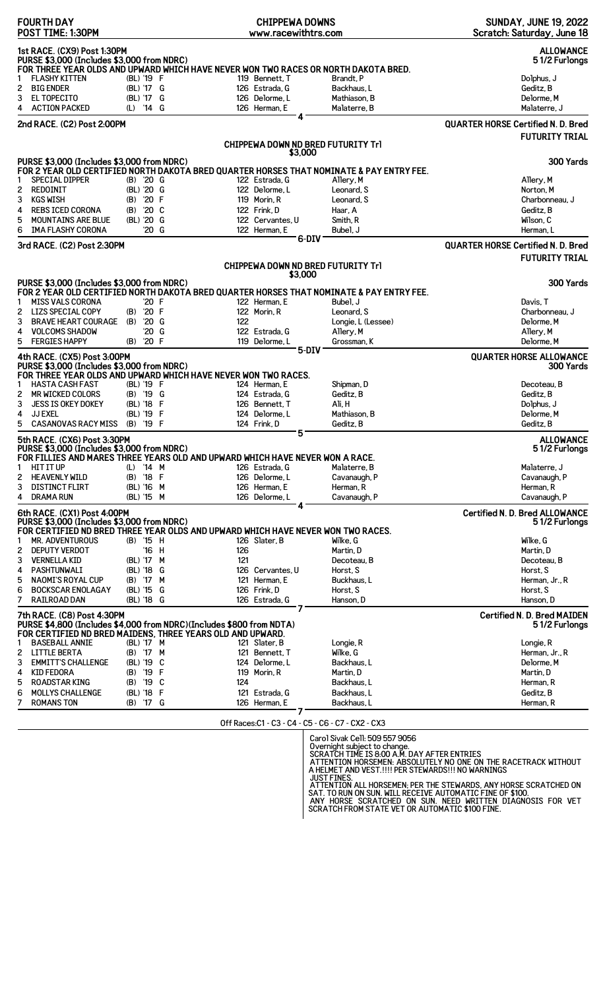| <b>FOURTH DAY</b><br>POST TIME: 1:30PM                                                                                                                           |                         | <b>CHIPPEWA DOWNS</b><br>www.racewithtrs.com      |                                                                                          | <b>SUNDAY, JUNE 19, 2022</b><br>Scratch: Saturday, June 18         |
|------------------------------------------------------------------------------------------------------------------------------------------------------------------|-------------------------|---------------------------------------------------|------------------------------------------------------------------------------------------|--------------------------------------------------------------------|
| 1st RACE. (CX9) Post 1:30PM<br>PURSE \$3,000 (Includes \$3,000 from NDRC)                                                                                        |                         |                                                   |                                                                                          | <b>ALLOWANCE</b><br>51/2 Furlongs                                  |
| FOR THREE YEAR OLDS AND UPWARD WHICH HAVE NEVER WON TWO RACES OR NORTH DAKOTA BRED.<br><b>FLASHY KITTEN</b>                                                      | (BL) '19 F              | 119 Bennett, T                                    | Brandt, P                                                                                | Dolphus, J                                                         |
| <b>BIG ENDER</b><br>2                                                                                                                                            | (BL) '17 G              | 126 Estrada, G                                    | Backhaus, L                                                                              | Geditz, B                                                          |
| 3<br>EL TOPECITO                                                                                                                                                 | (BL) '17 G              | 126 Delorme, L                                    | Mathiason, B                                                                             | Delorme, M                                                         |
| 4<br><b>ACTION PACKED</b>                                                                                                                                        | (L) '14 G               | 126 Herman, E                                     | Malaterre, B                                                                             | Malaterre, J                                                       |
| 2nd RACE. (C2) Post 2:00PM                                                                                                                                       |                         | 4                                                 |                                                                                          | <b>QUARTER HORSE Certified N. D. Bred</b>                          |
|                                                                                                                                                                  |                         |                                                   |                                                                                          | <b>FUTURITY TRIAL</b>                                              |
|                                                                                                                                                                  |                         | CHIPPEWA DOWN ND BRED FUTURITY Trl<br>\$3,000     |                                                                                          |                                                                    |
| PURSE \$3,000 (Includes \$3,000 from NDRC)                                                                                                                       |                         |                                                   |                                                                                          | 300 Yards                                                          |
|                                                                                                                                                                  |                         |                                                   | FOR 2 YEAR OLD CERTIFIED NORTH DAKOTA BRED QUARTER HORSES THAT NOMINATE & PAY ENTRY FEE. |                                                                    |
| <b>SPECIAL DIPPER</b>                                                                                                                                            | $(B)$ '20 G             | 122 Estrada, G                                    | Allery, M                                                                                | Allery, M                                                          |
| 2<br>REDOINIT<br><b>KGS WISH</b><br>3                                                                                                                            | (BL) '20 G<br>(B) '20 F | 122 Delorme, L<br>119 Morin, R                    | Leonard, S<br>Leonard, S                                                                 | Norton, M<br>Charbonneau, J                                        |
| <b>REBS ICED CORONA</b><br>4                                                                                                                                     | $(B)$ '20 C             | 122 Frink, D                                      | Haar, A                                                                                  | Geditz, B                                                          |
| 5<br><b>MOUNTAINS ARE BLUE</b>                                                                                                                                   | (BL) '20 G              | 122 Cervantes, U                                  | Smith, R                                                                                 | Wilson, C                                                          |
| IMA FLASHY CORONA<br>6                                                                                                                                           | $'20$ G                 | 122 Herman, E                                     | Bubel, J                                                                                 | Herman, L                                                          |
|                                                                                                                                                                  |                         | 6-DIV                                             |                                                                                          |                                                                    |
| 3rd RACE. (C2) Post 2:30PM                                                                                                                                       |                         |                                                   |                                                                                          | <b>QUARTER HORSE Certified N. D. Bred</b><br><b>FUTURITY TRIAL</b> |
|                                                                                                                                                                  |                         | CHIPPEWA DOWN ND BRED FUTURITY Trl                |                                                                                          |                                                                    |
| PURSE \$3,000 (Includes \$3,000 from NDRC)                                                                                                                       |                         | \$3,000                                           |                                                                                          | 300 Yards                                                          |
|                                                                                                                                                                  |                         |                                                   | FOR 2 YEAR OLD CERTIFIED NORTH DAKOTA BRED QUARTER HORSES THAT NOMINATE & PAY ENTRY FEE. |                                                                    |
| <b>MISS VALS CORONA</b><br>1                                                                                                                                     | '20 F                   | 122 Herman, E                                     | Bubel, J                                                                                 | Davis, T                                                           |
| $\overline{c}$<br><b>LIZS SPECIAL COPY</b>                                                                                                                       | (B) '20 F               | 122 Morin, R                                      | Leonard, S                                                                               | Charbonneau. J                                                     |
| 3<br><b>BRAVE HEART COURAGE</b>                                                                                                                                  | $(B)$ '20 G             | 122                                               | Longie, L (Lessee)                                                                       | Delorme, M                                                         |
| 4<br><b>VOLCOMS SHADOW</b>                                                                                                                                       | '20 G                   | 122 Estrada, G                                    | Allery, M                                                                                | Allery, M                                                          |
| 5<br><b>FERGIES HAPPY</b>                                                                                                                                        | (B) '20 F               | 119 Delorme, L<br>$5-DIV$                         | Grossman, K                                                                              | Delorme.M                                                          |
| 4th RACE. (CX5) Post 3:00PM<br>PURSE \$3,000 (Includes \$3,000 from NDRC)<br>FOR THREE YEAR OLDS AND UPWARD WHICH HAVE NEVER WON TWO RACES.                      |                         |                                                   |                                                                                          | <b>QUARTER HORSE ALLOWANCE</b><br><b>300 Yards</b>                 |
| <b>HASTA CASH FAST</b><br>1                                                                                                                                      | (BL) '19 F              | 124 Herman, E                                     | Shipman, D                                                                               | Decoteau, B                                                        |
| <b>MR WICKED COLORS</b><br>2                                                                                                                                     | (B) '19 G               | 124 Estrada, G                                    | Geditz, B                                                                                | Geditz, B                                                          |
| 3<br><b>JESS IS OKEY DOKEY</b>                                                                                                                                   | (BL) '18 F              | 126 Bennett, T                                    | Ali, H                                                                                   | Dolphus, J                                                         |
| 4<br><b>JJ EXEL</b>                                                                                                                                              | (BL) '19 F              | 124 Delorme, L                                    | Mathiason, B                                                                             | Delorme, M                                                         |
| 5<br><b>CASANOVAS RACY MISS</b>                                                                                                                                  | (B) '19 F               | 124 Frink, D                                      | Geditz, B                                                                                | Geditz, B                                                          |
| 5th RACE. (CX6) Post 3:30PM<br>PURSE \$3,000 (Includes \$3,000 from NDRC)                                                                                        |                         | 5                                                 |                                                                                          | <b>ALLOWANCE</b><br>51/2 Furlongs                                  |
| FOR FILLIES AND MARES THREE YEARS OLD AND UPWARD WHICH HAVE NEVER WON A RACE.<br><b>HIT IT UP</b><br>1                                                           | (L) '14 M               | 126 Estrada, G                                    |                                                                                          | Malaterre, J                                                       |
| <b>HEAVENLY WILD</b><br>2                                                                                                                                        | (B) '18 F               | 126 Delorme, L                                    | Malaterre, B<br>Cavanaugh, P                                                             | Cavanaugh, P                                                       |
| 3<br><b>DISTINCT FLIRT</b>                                                                                                                                       | (BL) '16 M              | 126 Herman, E                                     | Herman, R                                                                                | Herman, R                                                          |
| 4<br><b>DRAMA RUN</b>                                                                                                                                            | (BL) '15 M              | 126 Delorme, L                                    | Cavanaugh, P                                                                             | Cavanaugh, P                                                       |
| 6th RACE. (CX1) Post 4:00PM                                                                                                                                      |                         | 4                                                 |                                                                                          | <b>Certified N. D. Bred ALLOWANCE</b>                              |
| PURSE \$3,000 (Includes \$3,000 from NDRC)                                                                                                                       |                         |                                                   |                                                                                          | 51/2 Furlongs                                                      |
| FOR CERTIFIED ND BRED THREE YEAR OLDS AND UPWARD WHICH HAVE NEVER WON TWO RACES.                                                                                 |                         |                                                   |                                                                                          |                                                                    |
| <b>MR. ADVENTUROUS</b>                                                                                                                                           | (B) '15 H               | 126 Slater, B                                     | Wilke, G                                                                                 | Wilke, G                                                           |
| <b>DEPUTY VERDOT</b><br>2                                                                                                                                        | '16 H                   | 126                                               | Martin, D                                                                                | Martin, D                                                          |
| 3<br><b>VERNELLA KID</b>                                                                                                                                         | (BL) '17 M              | 121                                               | Decoteau, B                                                                              | Decoteau, B                                                        |
| PASHTUNWALI<br>4                                                                                                                                                 | (BL) '18 G              | 126 Cervantes, U<br>121 Herman, E                 | Horst, S                                                                                 | Horst. S                                                           |
| 5<br><b>NAOMI'S ROYAL CUP</b><br>6<br><b>BOCKSCAR ENOLAGAY</b>                                                                                                   | (B) '17 M<br>(BL) '15 G | 126 Frink, D                                      | Buckhaus, L<br>Horst, S                                                                  | Herman, Jr., R<br>Horst, S                                         |
| 7<br><b>RAILROAD DAN</b>                                                                                                                                         | (BL) '18 G              | 126 Estrada, G                                    | Hanson, D                                                                                | Hanson, D                                                          |
|                                                                                                                                                                  |                         |                                                   |                                                                                          |                                                                    |
| 7th RACE. (C8) Post 4:30PM<br>PURSE \$4,800 (Includes \$4,000 from NDRC)(Includes \$800 from NDTA)<br>FOR CERTIFIED ND BRED MAIDENS, THREE YEARS OLD AND UPWARD. |                         |                                                   |                                                                                          | <b>Certified N. D. Bred MAIDEN</b><br>51/2 Furlongs                |
| <b>BASEBALL ANNIE</b><br>1                                                                                                                                       | (BL) '17 M              | 121 Slater, B                                     | Longie, R                                                                                | Longie, R                                                          |
| <b>LITTLE BERTA</b><br>2                                                                                                                                         | (B) '17 M               | 121 Bennett, T                                    | Wilke, G                                                                                 | Herman, Jr., R                                                     |
| 3<br><b>EMMITT'S CHALLENGE</b>                                                                                                                                   | (BL) '19 C              | 124 Delorme, L                                    | Backhaus, L                                                                              | Delorme, M                                                         |
| <b>KID FEDORA</b><br>4                                                                                                                                           | (B) '19 F               | 119 Morin, R                                      | Martin, D                                                                                | Martin, D                                                          |
| 5<br><b>ROADSTAR KING</b>                                                                                                                                        | (B) '19 C               | 124                                               | Backhaus, L                                                                              | Herman, R                                                          |
| 6<br><b>MOLLYS CHALLENGE</b>                                                                                                                                     | (BL) '18 F              | 121 Estrada, G                                    | Backhaus, L                                                                              | Geditz, B                                                          |
| <b>ROMANS TON</b>                                                                                                                                                | (B) '17 G               | 126 Herman, E                                     | Backhaus, L                                                                              | Herman, R                                                          |
|                                                                                                                                                                  |                         | $\bigcap_{i=1}^{n} D_{i} = \bigcap_{i=1}^{n} C_i$ | CO CA CE CO CJ CVO CVO                                                                   |                                                                    |

Off Races:C1 - C3 - C4 - C5 - C6 - C7 - CX2 - CX3

Carol Sivak Cell: 509 557 9056<br>Overnight subject to change.<br>SCRATCH TIME IS 8:00 A.M. DAY AFTER ENTRIES<br>ATTENTION HORSEMEN: ABSOLUTELY NO ONE ON THE RACETRACK WITHOUT<br>A HELMET AND VEST.!!!! PER STEWARDS!!! NO WARNINGS<br>JUST